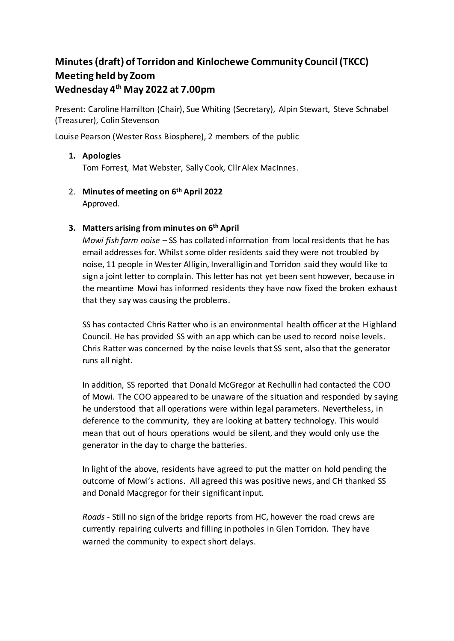# **Minutes (draft) of Torridon and Kinlochewe Community Council (TKCC) Meeting held by Zoom Wednesday 4 th May 2022 at 7.00pm**

Present: Caroline Hamilton (Chair), Sue Whiting (Secretary), Alpin Stewart, Steve Schnabel (Treasurer), Colin Stevenson

Louise Pearson (Wester Ross Biosphere), 2 members of the public

# **1. Apologies**

Tom Forrest, Mat Webster, Sally Cook, Cllr Alex MacInnes.

2. **Minutes of meeting on 6 th April 2022** Approved.

## **3. Matters arising from minutes on 6th April**

*Mowi fish farm noise* – SS has collated information from local residents that he has email addresses for. Whilst some older residents said they were not troubled by noise, 11 people in Wester Alligin, Inveralligin and Torridon said they would like to sign a joint letter to complain. This letter has not yet been sent however, because in the meantime Mowi has informed residents they have now fixed the broken exhaust that they say was causing the problems.

SS has contacted Chris Ratter who is an environmental health officer at the Highland Council. He has provided SS with an app which can be used to record noise levels. Chris Ratter was concerned by the noise levels that SS sent, also that the generator runs all night.

In addition, SS reported that Donald McGregor at Rechullin had contacted the COO of Mowi. The COO appeared to be unaware of the situation and responded by saying he understood that all operations were within legal parameters. Nevertheless, in deference to the community, they are looking at battery technology. This would mean that out of hours operations would be silent, and they would only use the generator in the day to charge the batteries.

In light of the above, residents have agreed to put the matter on hold pending the outcome of Mowi's actions. All agreed this was positive news, and CH thanked SS and Donald Macgregor for their significant input.

*Roads -* Still no sign of the bridge reports from HC, however the road crews are currently repairing culverts and filling in potholes in Glen Torridon. They have warned the community to expect short delays.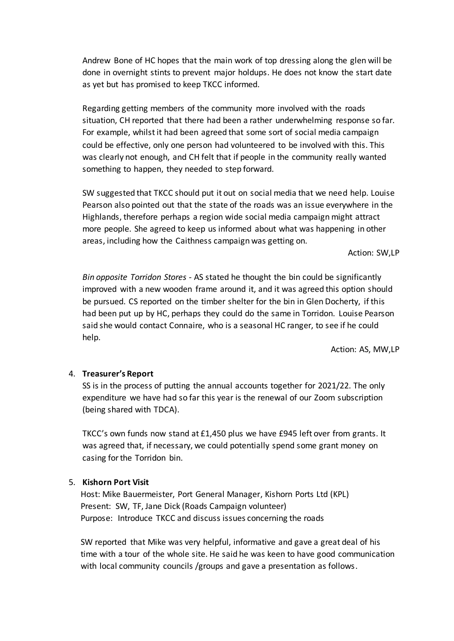Andrew Bone of HC hopes that the main work of top dressing along the glen will be done in overnight stints to prevent major holdups. He does not know the start date as yet but has promised to keep TKCC informed.

Regarding getting members of the community more involved with the roads situation, CH reported that there had been a rather underwhelming response so far. For example, whilst it had been agreed that some sort of social media campaign could be effective, only one person had volunteered to be involved with this. This was clearly not enough, and CH felt that if people in the community really wanted something to happen, they needed to step forward.

SW suggested that TKCC should put it out on social media that we need help. Louise Pearson also pointed out that the state of the roads was an issue everywhere in the Highlands, therefore perhaps a region wide social media campaign might attract more people. She agreed to keep us informed about what was happening in other areas, including how the Caithness campaign was getting on.

Action: SW,LP

*Bin opposite Torridon Stores -* AS stated he thought the bin could be significantly improved with a new wooden frame around it, and it was agreed this option should be pursued. CS reported on the timber shelter for the bin in Glen Docherty, if this had been put up by HC, perhaps they could do the same in Torridon. Louise Pearson said she would contact Connaire, who is a seasonal HC ranger, to see if he could help.

Action: AS, MW,LP

# 4. **Treasurer's Report**

SS is in the process of putting the annual accounts together for 2021/22. The only expenditure we have had so far this year is the renewal of our Zoom subscription (being shared with TDCA).

TKCC's own funds now stand at £1,450 plus we have £945 left over from grants. It was agreed that, if necessary, we could potentially spend some grant money on casing for the Torridon bin.

#### 5. **Kishorn Port Visit**

Host: Mike Bauermeister, Port General Manager, Kishorn Ports Ltd (KPL) Present: SW, TF, Jane Dick (Roads Campaign volunteer) Purpose: Introduce TKCC and discuss issues concerning the roads

SW reported that Mike was very helpful, informative and gave a great deal of his time with a tour of the whole site. He said he was keen to have good communication with local community councils /groups and gave a presentation as follows.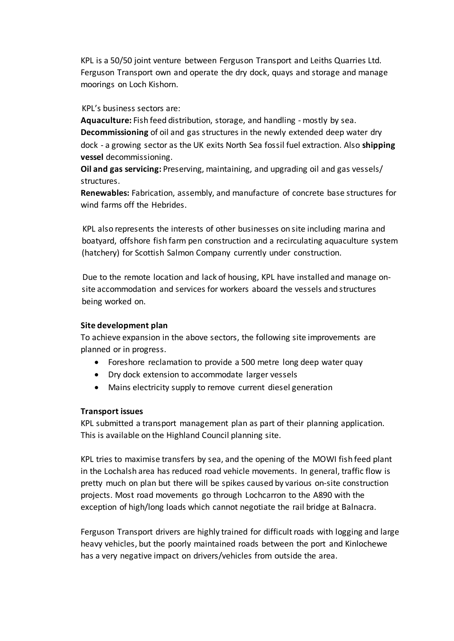KPL is a 50/50 joint venture between Ferguson Transport and Leiths Quarries Ltd. Ferguson Transport own and operate the dry dock, quays and storage and manage moorings on Loch Kishorn.

### KPL's business sectors are:

**Aquaculture:** Fish feed distribution, storage, and handling - mostly by sea. **Decommissioning** of oil and gas structures in the newly extended deep water dry dock - a growing sector as the UK exits North Sea fossil fuel extraction. Also **shipping vessel** decommissioning.

**Oil and gas servicing:** Preserving, maintaining, and upgrading oil and gas vessels/ structures.

**Renewables:** Fabrication, assembly, and manufacture of concrete base structures for wind farms off the Hebrides.

KPL also represents the interests of other businesses on site including marina and boatyard, offshore fish farm pen construction and a recirculating aquaculture system (hatchery) for Scottish Salmon Company currently under construction.

Due to the remote location and lack of housing, KPL have installed and manage onsite accommodation and services for workers aboard the vessels and structures being worked on.

# **Site development plan**

To achieve expansion in the above sectors, the following site improvements are planned or in progress.

- Foreshore reclamation to provide a 500 metre long deep water quay
- Dry dock extension to accommodate larger vessels
- Mains electricity supply to remove current diesel generation

#### **Transport issues**

KPL submitted a transport management plan as part of their planning application. This is available on the Highland Council planning site.

KPL tries to maximise transfers by sea, and the opening of the MOWI fish feed plant in the Lochalsh area has reduced road vehicle movements. In general, traffic flow is pretty much on plan but there will be spikes caused by various on-site construction projects. Most road movements go through Lochcarron to the A890 with the exception of high/long loads which cannot negotiate the rail bridge at Balnacra.

Ferguson Transport drivers are highly trained for difficult roads with logging and large heavy vehicles, but the poorly maintained roads between the port and Kinlochewe has a very negative impact on drivers/vehicles from outside the area.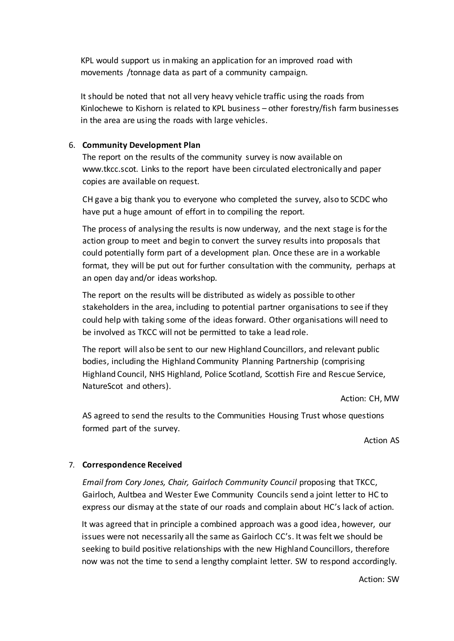KPL would support us in making an application for an improved road with movements /tonnage data as part of a community campaign.

It should be noted that not all very heavy vehicle traffic using the roads from Kinlochewe to Kishorn is related to KPL business – other forestry/fish farm businesses in the area are using the roads with large vehicles.

## 6. **Community Development Plan**

The report on the results of the community survey is now available on www.tkcc.scot. Links to the report have been circulated electronically and paper copies are available on request.

CH gave a big thank you to everyone who completed the survey, also to SCDC who have put a huge amount of effort in to compiling the report.

The process of analysing the results is now underway, and the next stage is for the action group to meet and begin to convert the survey results into proposals that could potentially form part of a development plan. Once these are in a workable format, they will be put out for further consultation with the community, perhaps at an open day and/or ideas workshop.

The report on the results will be distributed as widely as possible to other stakeholders in the area, including to potential partner organisations to see if they could help with taking some of the ideas forward. Other organisations will need to be involved as TKCC will not be permitted to take a lead role.

The report will also be sent to our new Highland Councillors, and relevant public bodies, including the Highland Community Planning Partnership (comprising Highland Council, NHS Highland, Police Scotland, Scottish Fire and Rescue Service, NatureScot and others).

Action: CH, MW

AS agreed to send the results to the Communities Housing Trust whose questions formed part of the survey.

Action AS

#### 7. **Correspondence Received**

*Email from Cory Jones, Chair, Gairloch Community Council* proposing that TKCC, Gairloch, Aultbea and Wester Ewe Community Councils send a joint letter to HC to express our dismay at the state of our roads and complain about HC's lack of action.

It was agreed that in principle a combined approach was a good idea, however, our issues were not necessarily all the same as Gairloch CC's. It was felt we should be seeking to build positive relationships with the new Highland Councillors, therefore now was not the time to send a lengthy complaint letter. SW to respond accordingly.